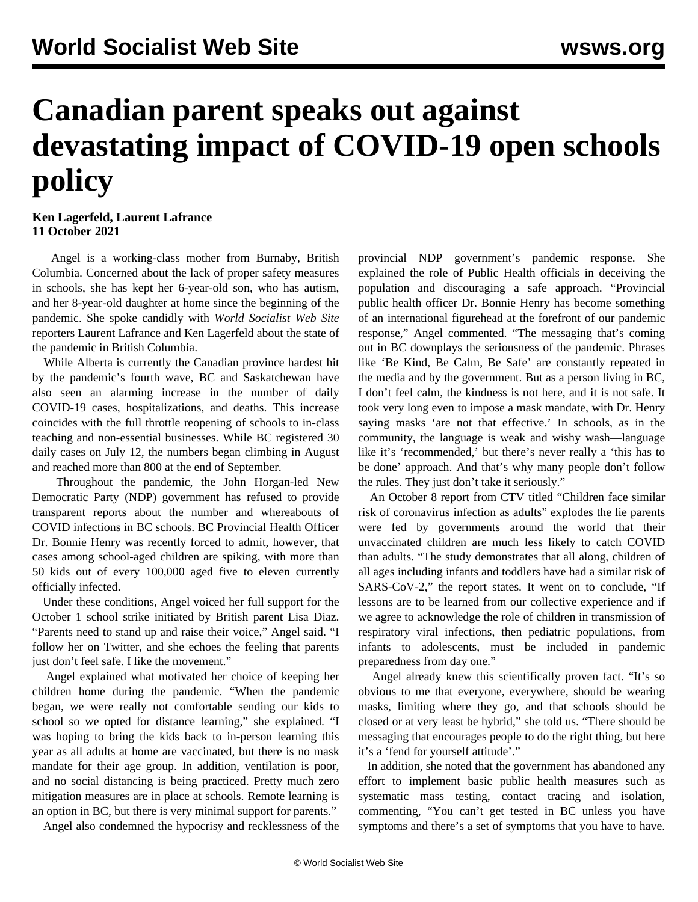## **Canadian parent speaks out against devastating impact of COVID-19 open schools policy**

**Ken Lagerfeld, Laurent Lafrance 11 October 2021**

 Angel is a working-class mother from Burnaby, British Columbia. Concerned about the lack of proper safety measures in schools, she has kept her 6-year-old son, who has autism, and her 8-year-old daughter at home since the beginning of the pandemic. She spoke candidly with *World Socialist Web Site* reporters Laurent Lafrance and Ken Lagerfeld about the state of the pandemic in British Columbia.

 While Alberta is currently the Canadian province hardest hit by the pandemic's fourth wave, BC and Saskatchewan have also seen an alarming increase in the number of daily COVID-19 cases, hospitalizations, and deaths. This increase coincides with the full throttle reopening of schools to in-class teaching and non-essential businesses. While BC registered 30 daily cases on July 12, the numbers began climbing in August and reached more than 800 at the end of September.

 Throughout the pandemic, the John Horgan-led New Democratic Party (NDP) government has refused to provide transparent reports about the number and whereabouts of COVID infections in BC schools. BC Provincial Health Officer Dr. Bonnie Henry was recently forced to admit, however, that cases among school-aged children are spiking, with more than 50 kids out of every 100,000 aged five to eleven currently officially infected.

 Under these conditions, Angel voiced her full support for the October 1 school strike initiated by British parent Lisa Diaz. "Parents need to stand up and raise their voice," Angel said. "I follow her on Twitter, and she echoes the feeling that parents just don't feel safe. I like the movement."

 Angel explained what motivated her choice of keeping her children home during the pandemic. "When the pandemic began, we were really not comfortable sending our kids to school so we opted for distance learning," she explained. "I was hoping to bring the kids back to in-person learning this year as all adults at home are vaccinated, but there is no mask mandate for their age group. In addition, ventilation is poor, and no social distancing is being practiced. Pretty much zero mitigation measures are in place at schools. Remote learning is an option in BC, but there is very minimal support for parents."

Angel also condemned the hypocrisy and recklessness of the

provincial NDP government's pandemic response. She explained the role of Public Health officials in deceiving the population and discouraging a safe approach. "Provincial public health officer Dr. Bonnie Henry has become something of an international figurehead at the forefront of our pandemic response," Angel commented. "The messaging that's coming out in BC downplays the seriousness of the pandemic. Phrases like 'Be Kind, Be Calm, Be Safe' are constantly repeated in the media and by the government. But as a person living in BC, I don't feel calm, the kindness is not here, and it is not safe. It took very long even to impose a mask mandate, with Dr. Henry saying masks 'are not that effective.' In schools, as in the community, the language is weak and wishy wash—language like it's 'recommended,' but there's never really a 'this has to be done' approach. And that's why many people don't follow the rules. They just don't take it seriously."

 An October 8 report from CTV titled "Children face similar risk of coronavirus infection as adults" explodes the lie parents were fed by governments around the world that their unvaccinated children are much less likely to catch COVID than adults. "The study demonstrates that all along, children of all ages including infants and toddlers have had a similar risk of SARS-CoV-2," the report states. It went on to conclude, "If lessons are to be learned from our collective experience and if we agree to acknowledge the role of children in transmission of respiratory viral infections, then pediatric populations, from infants to adolescents, must be included in pandemic preparedness from day one."

 Angel already knew this scientifically proven fact. "It's so obvious to me that everyone, everywhere, should be wearing masks, limiting where they go, and that schools should be closed or at very least be hybrid," she told us. "There should be messaging that encourages people to do the right thing, but here it's a 'fend for yourself attitude'."

 In addition, she noted that the government has abandoned any effort to implement basic public health measures such as systematic mass testing, contact tracing and isolation, commenting, "You can't get tested in BC unless you have symptoms and there's a set of symptoms that you have to have.